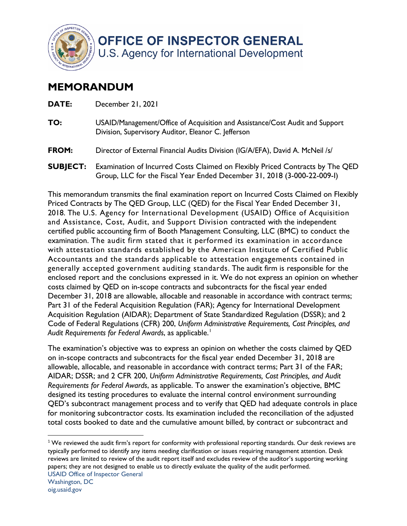

## **MEMORANDUM**

| DATE:           | December 21, 2021                                                                                                                                        |
|-----------------|----------------------------------------------------------------------------------------------------------------------------------------------------------|
| TO:             | USAID/Management/Office of Acquisition and Assistance/Cost Audit and Support<br>Division, Supervisory Auditor, Eleanor C. Jefferson                      |
| FROM:           | Director of External Financial Audits Division (IG/A/EFA), David A. McNeil /s/                                                                           |
| <b>SUBJECT:</b> | Examination of Incurred Costs Claimed on Flexibly Priced Contracts by The QED<br>Group, LLC for the Fiscal Year Ended December 31, 2018 (3-000-22-009-1) |

 This memorandum transmits the final examination report on Incurred Costs Claimed on Flexibly Priced Contracts by The QED Group, LLC (QED) for the Fiscal Year Ended December 31, and Assistance, Cost, Audit, and Support Division contracted with the independent certified public accounting firm of Booth Management Consulting, LLC (BMC) to conduct the examination. The audit firm stated that it performed its examination in accordance generally accepted government auditing standards. The audit firm is responsible for the enclosed report and the conclusions expressed in it. We do not express an opinion on whether costs claimed by QED on in-scope contracts and subcontracts for the fiscal year ended December 31, 2018 are allowable, allocable and reasonable in accordance with contract terms; *Audit Requirements for Federal Awards*, as applicable. 1 2018. The U.S. Agency for International Development (USAID) Office of Acquisition with attestation standards established by the American Institute of Certified Public Accountants and the standards applicable to attestation engagements contained in Part 31 of the Federal Acquisition Regulation (FAR); Agency for International Development Acquisition Regulation (AIDAR); Department of State Standardized Regulation (DSSR); and 2 Code of Federal Regulations (CFR) 200, *Uniform Administrative Requirements, Cost Principles, and* 

 The examination's objective was to express an opinion on whether the costs claimed by QED on in-scope contracts and subcontracts for the fiscal year ended December 31, 2018 are allowable, allocable, and reasonable in accordance with contract terms; Part 31 of the FAR; AIDAR; DSSR; and 2 CFR 200, *Uniform Administrative Requirements, Cost Principles, and Audit Requirements for Federal Awards*, as applicable. To answer the examination's objective, BMC designed its testing procedures to evaluate the internal control environment surrounding QED's subcontract management process and to verify that QED had adequate controls in place for monitoring subcontractor costs. Its examination included the reconciliation of the adjusted total costs booked to date and the cumulative amount billed, by contract or subcontract and

 $1$ We reviewed the audit firm's report for conformity with professional reporting standards. Our desk reviews are typically performed to identify any items needing clarification or issues requiring management attention. Desk reviews are limited to review of the audit report itself and excludes review of the auditor's supporting working papers; they are not designed to enable us to directly evaluate the quality of the audit performed.